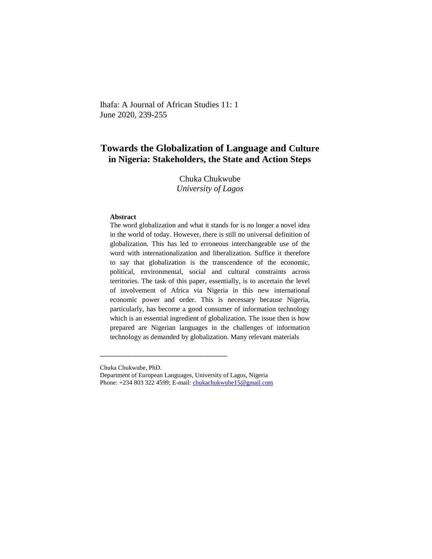Ihafa: A Journal of African Studies 11: 1 June 2020, 239-255

# **Towards the Globalization of Language and Culture in Nigeria: Stakeholders, the State and Action Steps**

Chuka Chukwube *University of Lagos*

#### **Abstract**

The word globalization and what it stands for is no longer a novel idea in the world of today. However, there is still no universal definition of globalization. This has led to erroneous interchangeable use of the word with internationalization and liberalization. Suffice it therefore to say that globalization is the transcendence of the economic, political, environmental, social and cultural constraints across territories. The task of this paper, essentially, is to ascertain the level of involvement of Africa via Nigeria in this new international economic power and order. This is necessary because Nigeria, particularly, has become a good consumer of information technology which is an essential ingredient of globalization. The issue then is how prepared are Nigerian languages in the challenges of information technology as demanded by globalization. Many relevant materials

**\_\_\_\_\_\_\_\_\_\_\_\_\_\_\_\_\_\_\_\_\_\_\_\_\_\_\_\_\_\_\_\_\_\_\_\_\_\_\_\_**

Chuka Chukwube, PhD.

Department of European Languages, University of Lagos, Nigeria Phone: +234 803 322 4599; E-mail[: chukachukwube15@gmail.com](mailto:chukachukwube15@gmail.com)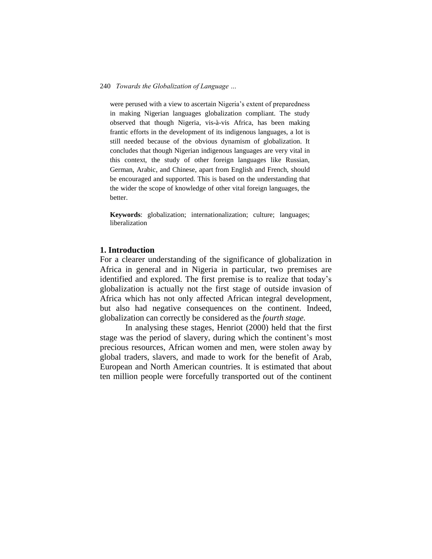were perused with a view to ascertain Nigeria's extent of preparedness in making Nigerian languages globalization compliant. The study observed that though Nigeria, vis-à-vis Africa, has been making frantic efforts in the development of its indigenous languages, a lot is still needed because of the obvious dynamism of globalization. It concludes that though Nigerian indigenous languages are very vital in this context, the study of other foreign languages like Russian, German, Arabic, and Chinese, apart from English and French, should be encouraged and supported. This is based on the understanding that the wider the scope of knowledge of other vital foreign languages, the better.

**Keywords**: globalization; internationalization; culture; languages; liberalization

## **1. Introduction**

For a clearer understanding of the significance of globalization in Africa in general and in Nigeria in particular, two premises are identified and explored. The first premise is to realize that today's globalization is actually not the first stage of outside invasion of Africa which has not only affected African integral development, but also had negative consequences on the continent. Indeed, globalization can correctly be considered as the *fourth stage.*

In analysing these stages, Henriot (2000) held that the first stage was the period of slavery, during which the continent's most precious resources, African women and men, were stolen away by global traders, slavers, and made to work for the benefit of Arab, European and North American countries. It is estimated that about ten million people were forcefully transported out of the continent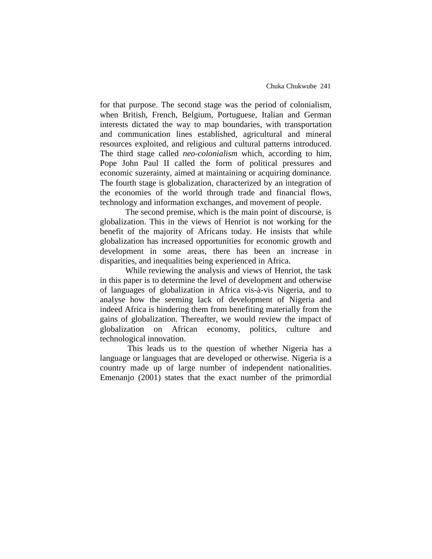for that purpose. The second stage was the period of colonialism, when British, French, Belgium, Portuguese, Italian and German interests dictated the way to map boundaries, with transportation and communication lines established, agricultural and mineral resources exploited, and religious and cultural patterns introduced. The third stage called *neo-colonialism* which, according to him, Pope John Paul II called the form of political pressures and economic suzerainty, aimed at maintaining or acquiring dominance. The fourth stage is globalization, characterized by an integration of the economies of the world through trade and financial flows, technology and information exchanges, and movement of people.

The second premise, which is the main point of discourse, is globalization. This in the views of Henriot is not working for the benefit of the majority of Africans today. He insists that while globalization has increased opportunities for economic growth and development in some areas, there has been an increase in disparities, and inequalities being experienced in Africa.

While reviewing the analysis and views of Henriot, the task in this paper is to determine the level of development and otherwise of languages of globalization in Africa vis-à-vis Nigeria, and to analyse how the seeming lack of development of Nigeria and indeed Africa is hindering them from benefiting materially from the gains of globalization. Thereafter, we would review the impact of globalization on African economy, politics, culture and technological innovation.

This leads us to the question of whether Nigeria has a language or languages that are developed or otherwise. Nigeria is a country made up of large number of independent nationalities. Emenanjo (2001) states that the exact number of the primordial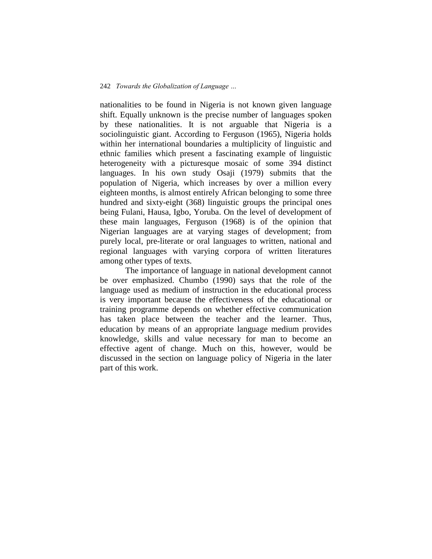nationalities to be found in Nigeria is not known given language shift. Equally unknown is the precise number of languages spoken by these nationalities. It is not arguable that Nigeria is a sociolinguistic giant. According to Ferguson (1965), Nigeria holds within her international boundaries a multiplicity of linguistic and ethnic families which present a fascinating example of linguistic heterogeneity with a picturesque mosaic of some 394 distinct languages. In his own study Osaji (1979) submits that the population of Nigeria, which increases by over a million every eighteen months, is almost entirely African belonging to some three hundred and sixty-eight (368) linguistic groups the principal ones being Fulani, Hausa, Igbo, Yoruba. On the level of development of these main languages, Ferguson (1968) is of the opinion that Nigerian languages are at varying stages of development; from purely local, pre-literate or oral languages to written, national and regional languages with varying corpora of written literatures among other types of texts.

The importance of language in national development cannot be over emphasized. Chumbo (1990) says that the role of the language used as medium of instruction in the educational process is very important because the effectiveness of the educational or training programme depends on whether effective communication has taken place between the teacher and the learner. Thus, education by means of an appropriate language medium provides knowledge, skills and value necessary for man to become an effective agent of change. Much on this, however, would be discussed in the section on language policy of Nigeria in the later part of this work.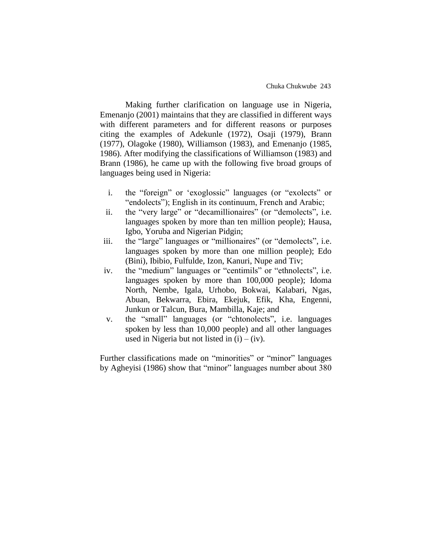Making further clarification on language use in Nigeria, Emenanjo (2001) maintains that they are classified in different ways with different parameters and for different reasons or purposes citing the examples of Adekunle (1972), Osaji (1979), Brann (1977), Olagoke (1980), Williamson (1983), and Emenanjo (1985, 1986). After modifying the classifications of Williamson (1983) and Brann (1986), he came up with the following five broad groups of languages being used in Nigeria:

- i. the "foreign" or 'exoglossic" languages (or "exolects" or "endolects"); English in its continuum, French and Arabic;
- ii. the "very large" or "decamillionaires" (or "demolects", i.e. languages spoken by more than ten million people); Hausa, Igbo, Yoruba and Nigerian Pidgin;
- iii. the "large" languages or "millionaires" (or "demolects", i.e. languages spoken by more than one million people); Edo (Bini), Ibibio, Fulfulde, Izon, Kanuri, Nupe and Tiv;
- iv. the "medium" languages or "centimils" or "ethnolects", i.e. languages spoken by more than 100,000 people); Idoma North, Nembe, Igala, Urhobo, Bokwai, Kalabari, Ngas, Abuan, Bekwarra, Ebira, Ekejuk, Efik, Kha, Engenni, Junkun or Talcun, Bura, Mambilla, Kaje; and
- v. the "small" languages (or "chtonolects", i.e. languages spoken by less than 10,000 people) and all other languages used in Nigeria but not listed in  $(i) - (iv)$ .

Further classifications made on "minorities" or "minor" languages by Agheyisi (1986) show that "minor" languages number about 380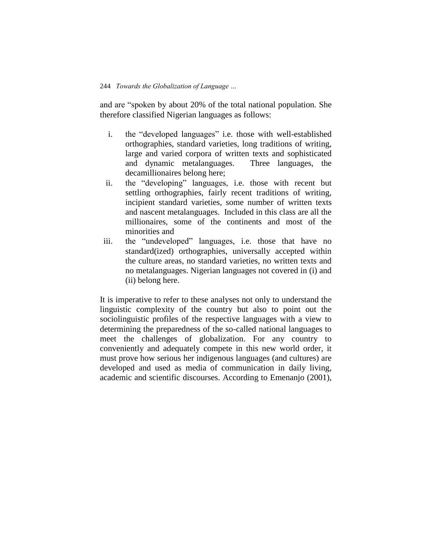and are "spoken by about 20% of the total national population. She therefore classified Nigerian languages as follows:

- i. the "developed languages" i.e. those with well-established orthographies, standard varieties, long traditions of writing, large and varied corpora of written texts and sophisticated and dynamic metalanguages. Three languages, the decamillionaires belong here;
- ii. the "developing" languages, i.e. those with recent but settling orthographies, fairly recent traditions of writing, incipient standard varieties, some number of written texts and nascent metalanguages. Included in this class are all the millionaires, some of the continents and most of the minorities and
- iii. the "undeveloped" languages, i.e. those that have no standard(ized) orthographies, universally accepted within the culture areas, no standard varieties, no written texts and no metalanguages. Nigerian languages not covered in (i) and (ii) belong here.

It is imperative to refer to these analyses not only to understand the linguistic complexity of the country but also to point out the sociolinguistic profiles of the respective languages with a view to determining the preparedness of the so-called national languages to meet the challenges of globalization. For any country to conveniently and adequately compete in this new world order, it must prove how serious her indigenous languages (and cultures) are developed and used as media of communication in daily living, academic and scientific discourses. According to Emenanjo (2001),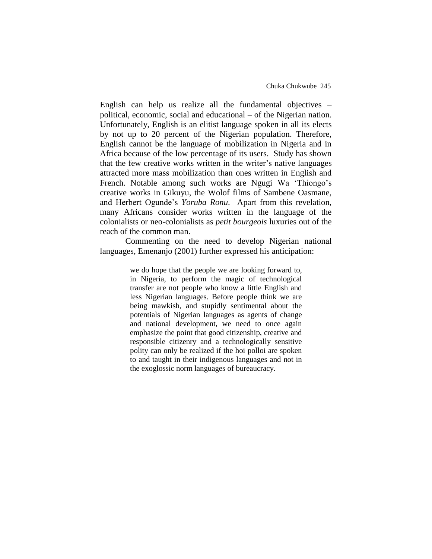English can help us realize all the fundamental objectives – political, economic, social and educational – of the Nigerian nation. Unfortunately, English is an elitist language spoken in all its elects by not up to 20 percent of the Nigerian population. Therefore, English cannot be the language of mobilization in Nigeria and in Africa because of the low percentage of its users. Study has shown that the few creative works written in the writer's native languages attracted more mass mobilization than ones written in English and French. Notable among such works are Ngugi Wa 'Thiongo's creative works in Gikuyu, the Wolof films of Sambene Oasmane, and Herbert Ogunde's *Yoruba Ronu*. Apart from this revelation, many Africans consider works written in the language of the colonialists or neo-colonialists as *petit bourgeois* luxuries out of the reach of the common man.

Commenting on the need to develop Nigerian national languages, Emenanjo (2001) further expressed his anticipation:

> we do hope that the people we are looking forward to, in Nigeria, to perform the magic of technological transfer are not people who know a little English and less Nigerian languages. Before people think we are being mawkish, and stupidly sentimental about the potentials of Nigerian languages as agents of change and national development, we need to once again emphasize the point that good citizenship, creative and responsible citizenry and a technologically sensitive polity can only be realized if the hoi polloi are spoken to and taught in their indigenous languages and not in the exoglossic norm languages of bureaucracy.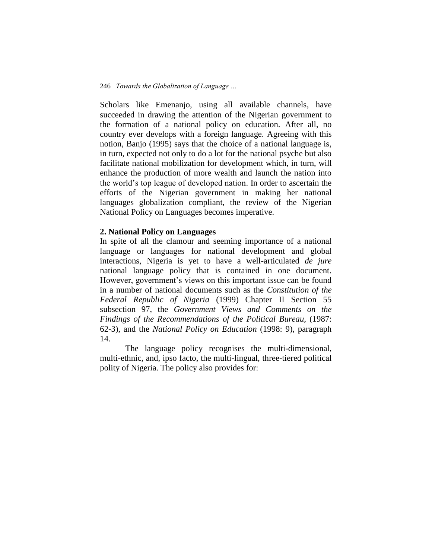Scholars like Emenanjo, using all available channels, have succeeded in drawing the attention of the Nigerian government to the formation of a national policy on education. After all, no country ever develops with a foreign language. Agreeing with this notion, Banjo (1995) says that the choice of a national language is, in turn, expected not only to do a lot for the national psyche but also facilitate national mobilization for development which, in turn, will enhance the production of more wealth and launch the nation into the world's top league of developed nation. In order to ascertain the efforts of the Nigerian government in making her national languages globalization compliant*,* the review of the Nigerian National Policy on Languages becomes imperative.

## **2. National Policy on Languages**

In spite of all the clamour and seeming importance of a national language or languages for national development and global interactions, Nigeria is yet to have a well-articulated *de jure* national language policy that is contained in one document. However, government's views on this important issue can be found in a number of national documents such as the *Constitution of the Federal Republic of Nigeria* (1999) Chapter II Section 55 subsection 97, the *Government Views and Comments on the Findings of the Recommendations of the Political Bureau,* (1987: 62-3), and the *National Policy on Education* (1998: 9), paragraph 14.

The language policy recognises the multi-dimensional, multi-ethnic, and, ipso facto, the multi-lingual, three-tiered political polity of Nigeria. The policy also provides for: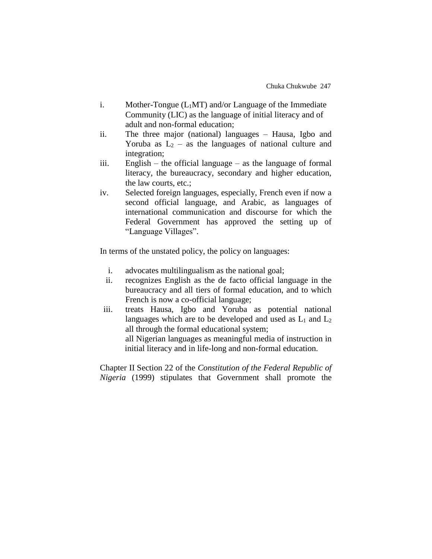- i. Mother-Tongue  $(L_1MT)$  and/or Language of the Immediate Community (LIC) as the language of initial literacy and of adult and non-formal education;
- ii. The three major (national) languages Hausa, Igbo and Yoruba as  $L_2$  – as the languages of national culture and integration;
- iii. English the official language as the language of formal literacy, the bureaucracy, secondary and higher education, the law courts, etc.;
- iv. Selected foreign languages, especially, French even if now a second official language, and Arabic, as languages of international communication and discourse for which the Federal Government has approved the setting up of "Language Villages".

In terms of the unstated policy, the policy on languages:

- i. advocates multilingualism as the national goal;
- ii. recognizes English as the de facto official language in the bureaucracy and all tiers of formal education, and to which French is now a co-official language;
- iii. treats Hausa, Igbo and Yoruba as potential national languages which are to be developed and used as  $L_1$  and  $L_2$ all through the formal educational system; all Nigerian languages as meaningful media of instruction in initial literacy and in life-long and non-formal education.

Chapter II Section 22 of the *Constitution of the Federal Republic of Nigeria* (1999) stipulates that Government shall promote the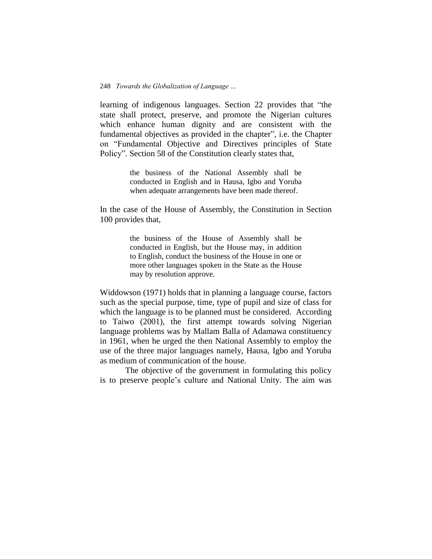learning of indigenous languages. Section 22 provides that "the state shall protect, preserve, and promote the Nigerian cultures which enhance human dignity and are consistent with the fundamental objectives as provided in the chapter", i.e. the Chapter on "Fundamental Objective and Directives principles of State Policy". Section 58 of the Constitution clearly states that,

> the business of the National Assembly shall be conducted in English and in Hausa, Igbo and Yoruba when adequate arrangements have been made thereof.

In the case of the House of Assembly, the Constitution in Section 100 provides that,

> the business of the House of Assembly shall be conducted in English, but the House may, in addition to English, conduct the business of the House in one or more other languages spoken in the State as the House may by resolution approve.

Widdowson (1971) holds that in planning a language course, factors such as the special purpose, time, type of pupil and size of class for which the language is to be planned must be considered. According to Taiwo (2001), the first attempt towards solving Nigerian language problems was by Mallam Balla of Adamawa constituency in 1961, when he urged the then National Assembly to employ the use of the three major languages namely, Hausa, Igbo and Yoruba as medium of communication of the house.

The objective of the government in formulating this policy is to preserve people's culture and National Unity. The aim was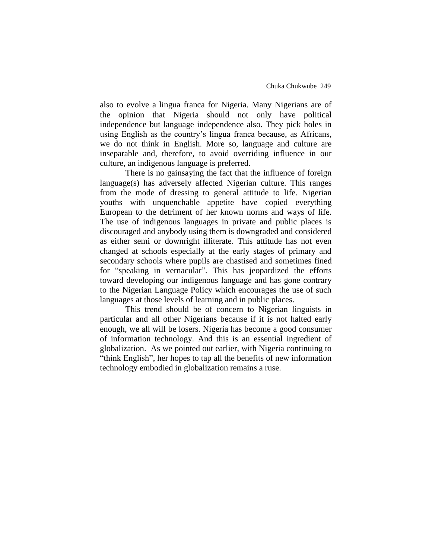also to evolve a lingua franca for Nigeria. Many Nigerians are of the opinion that Nigeria should not only have political independence but language independence also. They pick holes in using English as the country's lingua franca because, as Africans, we do not think in English. More so, language and culture are inseparable and, therefore, to avoid overriding influence in our culture, an indigenous language is preferred.

There is no gainsaying the fact that the influence of foreign language(s) has adversely affected Nigerian culture. This ranges from the mode of dressing to general attitude to life. Nigerian youths with unquenchable appetite have copied everything European to the detriment of her known norms and ways of life. The use of indigenous languages in private and public places is discouraged and anybody using them is downgraded and considered as either semi or downright illiterate. This attitude has not even changed at schools especially at the early stages of primary and secondary schools where pupils are chastised and sometimes fined for "speaking in vernacular". This has jeopardized the efforts toward developing our indigenous language and has gone contrary to the Nigerian Language Policy which encourages the use of such languages at those levels of learning and in public places.

This trend should be of concern to Nigerian linguists in particular and all other Nigerians because if it is not halted early enough, we all will be losers. Nigeria has become a good consumer of information technology. And this is an essential ingredient of globalization. As we pointed out earlier, with Nigeria continuing to "think English", her hopes to tap all the benefits of new information technology embodied in globalization remains a ruse.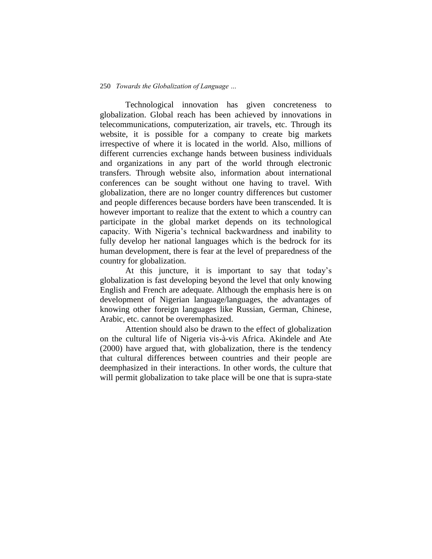Technological innovation has given concreteness to globalization. Global reach has been achieved by innovations in telecommunications, computerization, air travels, etc. Through its website, it is possible for a company to create big markets irrespective of where it is located in the world. Also, millions of different currencies exchange hands between business individuals and organizations in any part of the world through electronic transfers. Through website also, information about international conferences can be sought without one having to travel. With globalization, there are no longer country differences but customer and people differences because borders have been transcended. It is however important to realize that the extent to which a country can participate in the global market depends on its technological capacity. With Nigeria's technical backwardness and inability to fully develop her national languages which is the bedrock for its human development, there is fear at the level of preparedness of the country for globalization.

At this juncture, it is important to say that today's globalization is fast developing beyond the level that only knowing English and French are adequate. Although the emphasis here is on development of Nigerian language/languages, the advantages of knowing other foreign languages like Russian, German, Chinese, Arabic, etc. cannot be overemphasized.

Attention should also be drawn to the effect of globalization on the cultural life of Nigeria vis-à-vis Africa. Akindele and Ate (2000) have argued that, with globalization, there is the tendency that cultural differences between countries and their people are deemphasized in their interactions. In other words, the culture that will permit globalization to take place will be one that is supra-state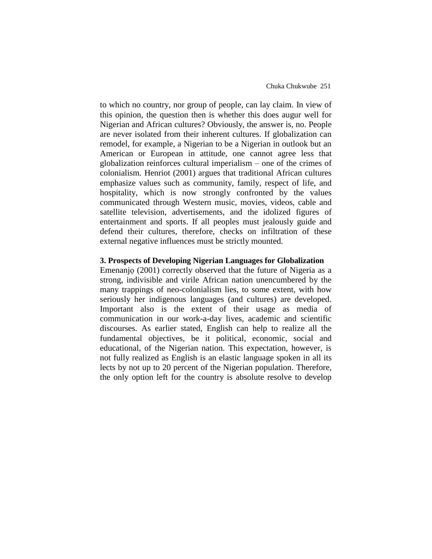to which no country, nor group of people, can lay claim. In view of this opinion, the question then is whether this does augur well for Nigerian and African cultures? Obviously, the answer is, no. People are never isolated from their inherent cultures. If globalization can remodel, for example, a Nigerian to be a Nigerian in outlook but an American or European in attitude, one cannot agree less that globalization reinforces cultural imperialism – one of the crimes of colonialism. Henriot (2001) argues that traditional African cultures emphasize values such as community, family, respect of life, and hospitality, which is now strongly confronted by the values communicated through Western music, movies, videos, cable and satellite television, advertisements, and the idolized figures of entertainment and sports. If all peoples must jealously guide and defend their cultures, therefore, checks on infiltration of these external negative influences must be strictly mounted.

# **3. Prospects of Developing Nigerian Languages for Globalization**

Emenanjọ (2001) correctly observed that the future of Nigeria as a strong, indivisible and virile African nation unencumbered by the many trappings of neo-colonialism lies, to some extent, with how seriously her indigenous languages (and cultures) are developed. Important also is the extent of their usage as media of communication in our work-a-day lives, academic and scientific discourses. As earlier stated, English can help to realize all the fundamental objectives, be it political, economic, social and educational, of the Nigerian nation. This expectation, however, is not fully realized as English is an elastic language spoken in all its lects by not up to 20 percent of the Nigerian population. Therefore, the only option left for the country is absolute resolve to develop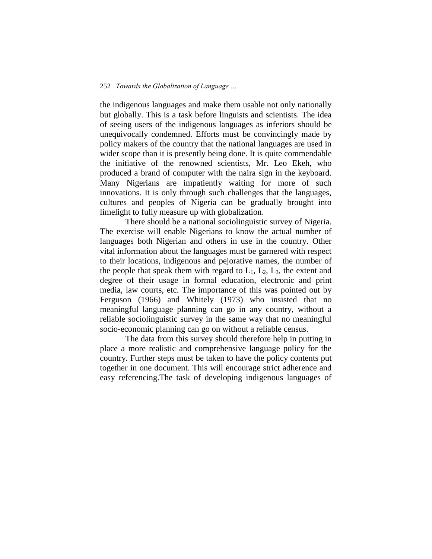the indigenous languages and make them usable not only nationally but globally. This is a task before linguists and scientists. The idea of seeing users of the indigenous languages as inferiors should be unequivocally condemned. Efforts must be convincingly made by policy makers of the country that the national languages are used in wider scope than it is presently being done. It is quite commendable the initiative of the renowned scientists, Mr. Leo Ekeh, who produced a brand of computer with the naira sign in the keyboard. Many Nigerians are impatiently waiting for more of such innovations. It is only through such challenges that the languages, cultures and peoples of Nigeria can be gradually brought into limelight to fully measure up with globalization.

There should be a national sociolinguistic survey of Nigeria. The exercise will enable Nigerians to know the actual number of languages both Nigerian and others in use in the country. Other vital information about the languages must be garnered with respect to their locations, indigenous and pejorative names, the number of the people that speak them with regard to  $L_1$ ,  $L_2$ ,  $L_3$ , the extent and degree of their usage in formal education, electronic and print media, law courts, etc. The importance of this was pointed out by Ferguson (1966) and Whitely (1973) who insisted that no meaningful language planning can go in any country, without a reliable sociolinguistic survey in the same way that no meaningful socio-economic planning can go on without a reliable census.

The data from this survey should therefore help in putting in place a more realistic and comprehensive language policy for the country. Further steps must be taken to have the policy contents put together in one document. This will encourage strict adherence and easy referencing.The task of developing indigenous languages of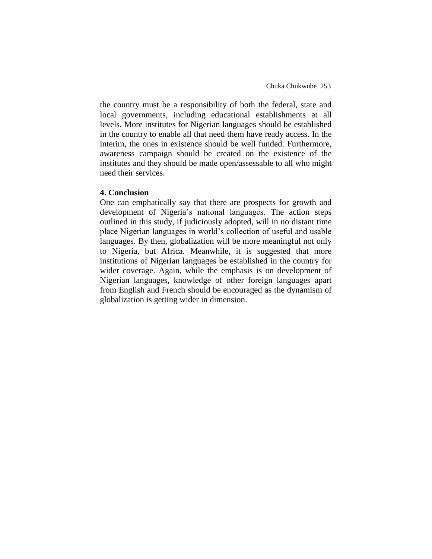the country must be a responsibility of both the federal, state and local governments, including educational establishments at all levels. More institutes for Nigerian languages should be established in the country to enable all that need them have ready access. In the interim, the ones in existence should be well funded. Furthermore, awareness campaign should be created on the existence of the institutes and they should be made open/assessable to all who might need their services.

# **4. Conclusion**

One can emphatically say that there are prospects for growth and development of Nigeria's national languages. The action steps outlined in this study, if judiciously adopted, will in no distant time place Nigerian languages in world's collection of useful and usable languages. By then, globalization will be more meaningful not only to Nigeria, but Africa. Meanwhile, it is suggested that more institutions of Nigerian languages be established in the country for wider coverage. Again, while the emphasis is on development of Nigerian languages, knowledge of other foreign languages apart from English and French should be encouraged as the dynamism of globalization is getting wider in dimension.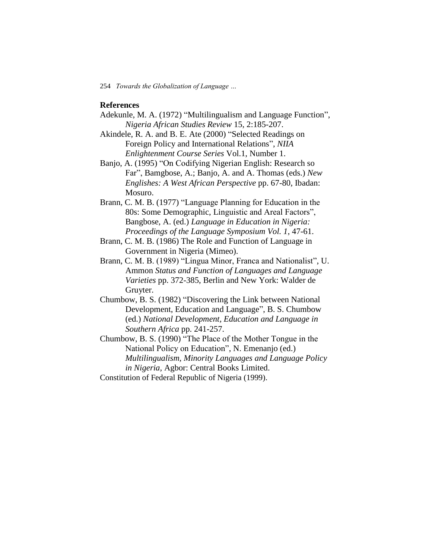# **References**

- Adekunle, M. A. (1972) "Multilingualism and Language Function", *Nigeria African Studies Review* 15, 2:185-207.
- Akindele, R. A. and B. E. Ate (2000) "Selected Readings on Foreign Policy and International Relations", *NIIA Enlightenment Course Series* Vol.1, Number 1.
- Banjo, A. (1995) "On Codifying Nigerian English: Research so Far", Bamgbose, A.; Banjo, A. and A. Thomas (eds.) *New Englishes: A West African Perspective* pp. 67-80, Ibadan: Mosuro.
- Brann, C. M. B. (1977) "Language Planning for Education in the 80s: Some Demographic, Linguistic and Areal Factors", Bangbose, A. (ed.) *Language in Education in Nigeria: Proceedings of the Language Symposium Vol. 1*, 47-61.
- Brann, C. M. B. (1986) The Role and Function of Language in Government in Nigeria (Mimeo).
- Brann, C. M. B. (1989) "Lingua Minor, Franca and Nationalist", U. Ammon *Status and Function of Languages and Language Varieties* pp. 372-385, Berlin and New York: Walder de Gruyter.
- Chumbow, B. S. (1982) "Discovering the Link between National Development, Education and Language", B. S. Chumbow (ed.) *National Development, Education and Language in Southern Africa* pp. 241-257.
- Chumbow, B. S. (1990) "The Place of the Mother Tongue in the National Policy on Education", N. Emenanjo (ed.) *Multilingualism, Minority Languages and Language Policy in Nigeria,* Agbor: Central Books Limited.
- Constitution of Federal Republic of Nigeria (1999).